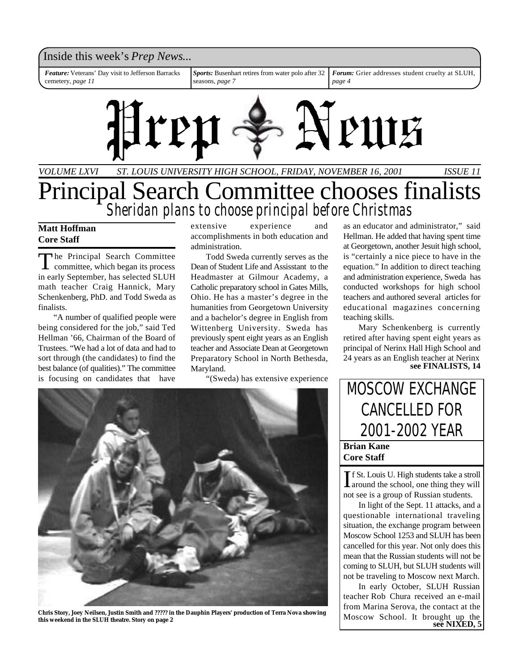

## Principal Search Committee chooses finalists *Sheridan plans to choose principal before Christmas*

### **Matt Hoffman Core Staff**

The Principal Search Committee<br>committee, which began its process he Principal Search Committee in early September, has selected SLUH math teacher Craig Hannick, Mary Schenkenberg, PhD. and Todd Sweda as finalists.

"A number of qualified people were being considered for the job," said Ted Hellman '66, Chairman of the Board of Trustees. "We had a lot of data and had to sort through (the candidates) to find the best balance (of qualities)." The committee is focusing on candidates that have

extensive experience and accomplishments in both education and administration.

Todd Sweda currently serves as the Dean of Student Life and Assisstant to the Headmaster at Gilmour Academy, a Catholic preparatory school in Gates Mills, Ohio. He has a master's degree in the humanities from Georgetown University and a bachelor's degree in English from Wittenberg University. Sweda has previously spent eight years as an English teacher and Associate Dean at Georgetown Preparatory School in North Bethesda, Maryland.

"(Sweda) has extensive experience



**Chris Story, Joey Neilsen, Justin Smith and ????? in the Dauphin Players' production of Terra Nova showing** this weekend in the SLUH theatre. Story on page 2

as an educator and administrator," said Hellman. He added that having spent time at Georgetown, another Jesuit high school, is "certainly a nice piece to have in the equation." In addition to direct teaching and administration experience, Sweda has conducted workshops for high school teachers and authored several articles for educational magazines concerning teaching skills.

Mary Schenkenberg is currently retired after having spent eight years as principal of Nerinx Hall High School and 24 years as an English teacher at Nerinx **see FINALISTS, 14**

## **Brian Kane** MOSCOW EXCHANGE CANCELLED FOR 2001-2002 YEAR

**Core Staff**

If St. Louis U. High students take a stroll<br>around the school, one thing they will **f** f St. Louis U. High students take a stroll not see is a group of Russian students.

In light of the Sept. 11 attacks, and a questionable international traveling situation, the exchange program between Moscow School 1253 and SLUH has been cancelled for this year. Not only does this mean that the Russian students will not be coming to SLUH, but SLUH students will not be traveling to Moscow next March.

In early October, SLUH Russian teacher Rob Chura received an e-mail from Marina Serova, the contact at the Moscow School. It brought up the see NIXED, 5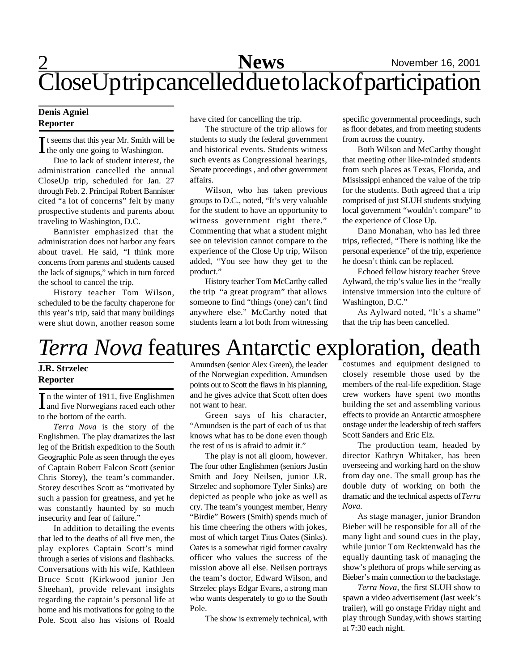## 2 **Sports News** November 16, 2001 CloseUp trip cancelled due to lack of participation

### **Denis Agniel Reporter**

It seems that this year Mr. Smith will be the only one going to Washington. the only one going to Washington.

Due to lack of student interest, the administration cancelled the annual CloseUp trip, scheduled for Jan. 27 through Feb. 2. Principal Robert Bannister cited "a lot of concerns" felt by many prospective students and parents about traveling to Washington, D.C.

Bannister emphasized that the administration does not harbor any fears about travel. He said, "I think more concerns from parents and students caused the lack of signups," which in turn forced the school to cancel the trip.

History teacher Tom Wilson, scheduled to be the faculty chaperone for this year's trip, said that many buildings were shut down, another reason some have cited for cancelling the trip.

The structure of the trip allows for students to study the federal government and historical events. Students witness such events as Congressional hearings, Senate proceedings , and other government affairs.

Wilson, who has taken previous groups to D.C., noted, "It's very valuable for the student to have an opportunity to witness government right there." Commenting that what a student might see on television cannot compare to the experience of the Close Up trip, Wilson added, "You see how they get to the product."

History teacher Tom McCarthy called the trip "a great program" that allows someone to find "things (one) can't find anywhere else." McCarthy noted that students learn a lot both from witnessing specific governmental proceedings, such as floor debates, and from meeting students from across the country.

Both Wilson and McCarthy thought that meeting other like-minded students from such places as Texas, Florida, and Mississippi enhanced the value of the trip for the students. Both agreed that a trip comprised of just SLUH students studying local government "wouldn't compare" to the experience of Close Up.

Dano Monahan, who has led three trips, reflected, "There is nothing like the personal experience" of the trip, experience he doesn't think can be replaced.

Echoed fellow history teacher Steve Aylward, the trip's value lies in the "really intensive immersion into the culture of Washington, D.C."

As Aylward noted, "It's a shame" that the trip has been cancelled.

## *Terra Nova* features Antarctic exploration, death

### **J.R. Strzelec Reporter**

In the winter of 1911, five Englishmen<br>
and five Norwegians raced each other n the winter of 1911, five Englishmen to the bottom of the earth.

*Terra Nova* is the story of the Englishmen. The play dramatizes the last leg of the British expedition to the South Geographic Pole as seen through the eyes of Captain Robert Falcon Scott (senior Chris Storey), the team's commander. Storey describes Scott as "motivated by such a passion for greatness, and yet he was constantly haunted by so much insecurity and fear of failure."

In addition to detailing the events that led to the deaths of all five men, the play explores Captain Scott's mind through a series of visions and flashbacks. Conversations with his wife, Kathleen Bruce Scott (Kirkwood junior Jen Sheehan), provide relevant insights regarding the captain's personal life at home and his motivations for going to the Pole. Scott also has visions of Roald

Amundsen (senior Alex Green), the leader of the Norwegian expedition. Amundsen points out to Scott the flaws in his planning, and he gives advice that Scott often does not want to hear.

Green says of his character, "Amundsen is the part of each of us that knows what has to be done even though the rest of us is afraid to admit it."

The play is not all gloom, however. The four other Englishmen (seniors Justin Smith and Joey Neilsen, junior J.R. Strzelec and sophomore Tyler Sinks) are depicted as people who joke as well as cry. The team's youngest member, Henry "Birdie" Bowers (Smith) spends much of his time cheering the others with jokes, most of which target Titus Oates (Sinks). Oates is a somewhat rigid former cavalry officer who values the success of the mission above all else. Neilsen portrays the team's doctor, Edward Wilson, and Strzelec plays Edgar Evans, a strong man who wants desperately to go to the South Pole.

The show is extremely technical, with

costumes and equipment designed to closely resemble those used by the members of the real-life expedition. Stage crew workers have spent two months building the set and assembling various effects to provide an Antarctic atmosphere onstage under the leadership of tech staffers Scott Sanders and Eric Elz.

The production team, headed by director Kathryn Whitaker, has been overseeing and working hard on the show from day one. The small group has the double duty of working on both the dramatic and the technical aspects of *Terra Nova*.

As stage manager, junior Brandon Bieber will be responsible for all of the many light and sound cues in the play, while junior Tom Recktenwald has the equally daunting task of managing the show's plethora of props while serving as Bieber's main connection to the backstage.

*Terra Nova*, the first SLUH show to spawn a video advertisement (last week's trailer), will go onstage Friday night and play through Sunday,with shows starting at 7:30 each night.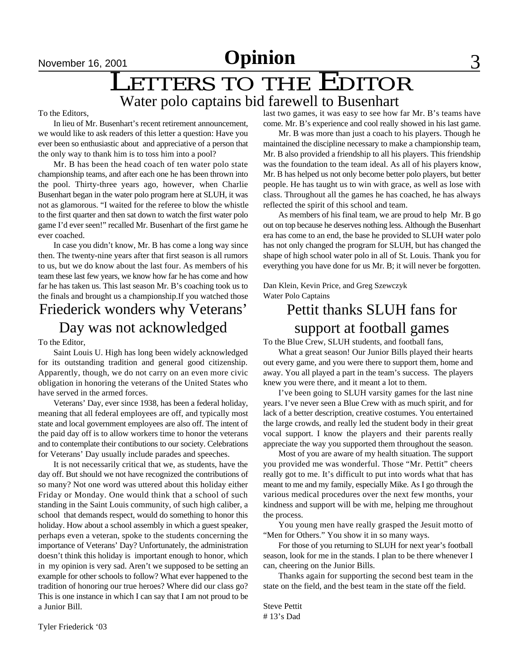## LETTERS TO THE EDITOR Water polo captains bid farewell to Busenhart

To the Editors,

In lieu of Mr. Busenhart's recent retirement announcement, we would like to ask readers of this letter a question: Have you ever been so enthusiastic about and appreciative of a person that the only way to thank him is to toss him into a pool?

Mr. B has been the head coach of ten water polo state championship teams, and after each one he has been thrown into the pool. Thirty-three years ago, however, when Charlie Busenhart began in the water polo program here at SLUH, it was not as glamorous. "I waited for the referee to blow the whistle to the first quarter and then sat down to watch the first water polo game I'd ever seen!" recalled Mr. Busenhart of the first game he ever coached.

In case you didn't know, Mr. B has come a long way since then. The twenty-nine years after that first season is all rumors to us, but we do know about the last four. As members of his team these last few years, we know how far he has come and how far he has taken us. This last season Mr. B's coaching took us to the finals and brought us a championship.If you watched those

## Friederick wonders why Veterans' Day was not acknowledged

To the Editor,

Saint Louis U. High has long been widely acknowledged for its outstanding tradition and general good citizenship. Apparently, though, we do not carry on an even more civic obligation in honoring the veterans of the United States who have served in the armed forces.

Veterans' Day, ever since 1938, has been a federal holiday, meaning that all federal employees are off, and typically most state and local government employees are also off. The intent of the paid day off is to allow workers time to honor the veterans and to contemplate their contibutions to our society. Celebrations for Veterans' Day usually include parades and speeches.

It is not necessarily critical that we, as students, have the day off. But should we not have recognized the contributions of so many? Not one word was uttered about this holiday either Friday or Monday. One would think that a school of such standing in the Saint Louis community, of such high caliber, a school that demands respect, would do something to honor this holiday. How about a school assembly in which a guest speaker, perhaps even a veteran, spoke to the students concerning the importance of Veterans' Day? Unfortunately, the administration doesn't think this holiday is important enough to honor, which in my opinion is very sad. Aren't we supposed to be setting an example for other schools to follow? What ever happened to the tradition of honoring our true heroes? Where did our class go? This is one instance in which I can say that I am not proud to be a Junior Bill.

last two games, it was easy to see how far Mr. B's teams have come. Mr. B's experience and cool really showed in his last game.

Mr. B was more than just a coach to his players. Though he maintained the discipline necessary to make a championship team, Mr. B also provided a friendship to all his players. This friendship was the foundation to the team ideal. As all of his players know, Mr. B has helped us not only become better polo players, but better people. He has taught us to win with grace, as well as lose with class. Throughout all the games he has coached, he has always reflected the spirit of this school and team.

As members of his final team, we are proud to help Mr. B go out on top because he deserves nothing less. Although the Busenhart era has come to an end, the base he provided to SLUH water polo has not only changed the program for SLUH, but has changed the shape of high school water polo in all of St. Louis. Thank you for everything you have done for us Mr. B; it will never be forgotten.

Dan Klein, Kevin Price, and Greg Szewczyk Water Polo Captains

## Pettit thanks SLUH fans for support at football games

To the Blue Crew, SLUH students, and football fans,

What a great season! Our Junior Bills played their hearts out every game, and you were there to support them, home and away. You all played a part in the team's success. The players knew you were there, and it meant a lot to them.

I've been going to SLUH varsity games for the last nine years. I've never seen a Blue Crew with as much spirit, and for lack of a better description, creative costumes. You entertained the large crowds, and really led the student body in their great vocal support. I know the players and their parents really appreciate the way you supported them throughout the season.

Most of you are aware of my health situation. The support you provided me was wonderful. Those "Mr. Pettit" cheers really got to me. It's difficult to put into words what that has meant to me and my family, especially Mike. As I go through the various medical procedures over the next few months, your kindness and support will be with me, helping me throughout the process.

You young men have really grasped the Jesuit motto of "Men for Others." You show it in so many ways.

For those of you returning to SLUH for next year's football season, look for me in the stands. I plan to be there whenever I can, cheering on the Junior Bills.

Thanks again for supporting the second best team in the state on the field, and the best team in the state off the field.

Steve Pettit # 13's Dad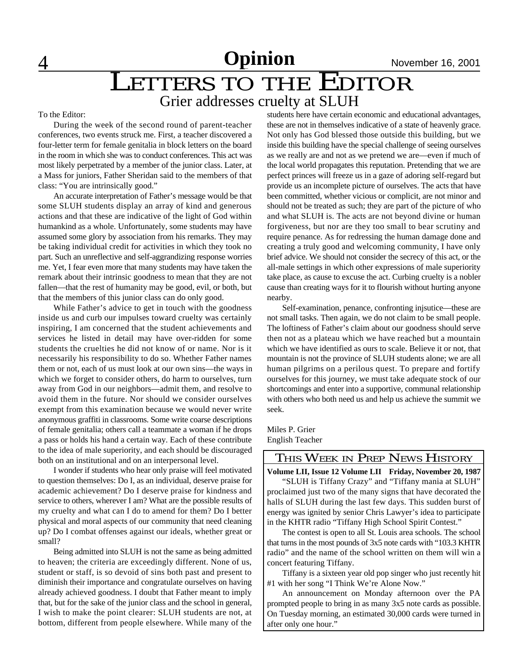## **LETTERS TO THE EDITOR** Grier addresses cruelty at SLUH

#### To the Editor:

During the week of the second round of parent-teacher conferences, two events struck me. First, a teacher discovered a four-letter term for female genitalia in block letters on the board in the room in which she was to conduct conferences. This act was most likely perpetrated by a member of the junior class. Later, at a Mass for juniors, Father Sheridan said to the members of that class: "You are intrinsically good."

An accurate interpretation of Father's message would be that some SLUH students display an array of kind and generous actions and that these are indicative of the light of God within humankind as a whole. Unfortunately, some students may have assumed some glory by association from his remarks. They may be taking individual credit for activities in which they took no part. Such an unreflective and self-aggrandizing response worries me. Yet, I fear even more that many students may have taken the remark about their intrinsic goodness to mean that they are not fallen—that the rest of humanity may be good, evil, or both, but that the members of this junior class can do only good.

While Father's advice to get in touch with the goodness inside us and curb our impulses toward cruelty was certainly inspiring, I am concerned that the student achievements and services he listed in detail may have over-ridden for some students the cruelties he did not know of or name. Nor is it necessarily his responsibility to do so. Whether Father names them or not, each of us must look at our own sins—the ways in which we forget to consider others, do harm to ourselves, turn away from God in our neighbors—admit them, and resolve to avoid them in the future. Nor should we consider ourselves exempt from this examination because we would never write anonymous graffiti in classrooms. Some write coarse descriptions of female genitalia; others call a teammate a woman if he drops a pass or holds his hand a certain way. Each of these contribute to the idea of male superiority, and each should be discouraged both on an institutional and on an interpersonal level.

I wonder if students who hear only praise will feel motivated to question themselves: Do I, as an individual, deserve praise for academic achievement? Do I deserve praise for kindness and service to others, wherever I am? What are the possible results of my cruelty and what can I do to amend for them? Do I better physical and moral aspects of our community that need cleaning up? Do I combat offenses against our ideals, whether great or small?

Being admitted into SLUH is not the same as being admitted to heaven; the criteria are exceedingly different. None of us, student or staff, is so devoid of sins both past and present to diminish their importance and congratulate ourselves on having already achieved goodness. I doubt that Father meant to imply that, but for the sake of the junior class and the school in general, I wish to make the point clearer: SLUH students are not, at bottom, different from people elsewhere. While many of the students here have certain economic and educational advantages, these are not in themselves indicative of a state of heavenly grace. Not only has God blessed those outside this building, but we inside this building have the special challenge of seeing ourselves as we really are and not as we pretend we are—even if much of the local world propagates this reputation. Pretending that we are perfect princes will freeze us in a gaze of adoring self-regard but provide us an incomplete picture of ourselves. The acts that have been committed, whether vicious or complicit, are not minor and should not be treated as such; they are part of the picture of who and what SLUH is. The acts are not beyond divine or human forgiveness, but nor are they too small to bear scrutiny and require penance. As for redressing the human damage done and creating a truly good and welcoming community, I have only brief advice. We should not consider the secrecy of this act, or the all-male settings in which other expressions of male superiority take place, as cause to excuse the act. Curbing cruelty is a nobler cause than creating ways for it to flourish without hurting anyone nearby.

Self-examination, penance, confronting injsutice—these are not small tasks. Then again, we do not claim to be small people. The loftiness of Father's claim about our goodness should serve then not as a plateau which we have reached but a mountain which we have identified as ours to scale. Believe it or not, that mountain is not the province of SLUH students alone; we are all human pilgrims on a perilous quest. To prepare and fortify ourselves for this journey, we must take adequate stock of our shortcomings and enter into a supportive, communal relationship with others who both need us and help us achieve the summit we seek.

Miles P. Grier English Teacher

## THIS WEEK IN PREP NEWS HISTORY

**Volume LII, Issue 12 Volume LII Friday, November 20, 1987**

"SLUH is Tiffany Crazy" and "Tiffany mania at SLUH" proclaimed just two of the many signs that have decorated the halls of SLUH during the last few days. This sudden burst of energy was ignited by senior Chris Lawyer's idea to participate in the KHTR radio "Tiffany High School Spirit Contest."

The contest is open to all St. Louis area schools. The school that turns in the most pounds of 3x5 note cards with "103.3 KHTR radio" and the name of the school written on them will win a concert featuring Tiffany.

Tiffany is a sixteen year old pop singer who just recently hit #1 with her song "I Think We're Alone Now."

An announcement on Monday afternoon over the PA prompted people to bring in as many 3x5 note cards as possible. On Tuesday morning, an estimated 30,000 cards were turned in after only one hour."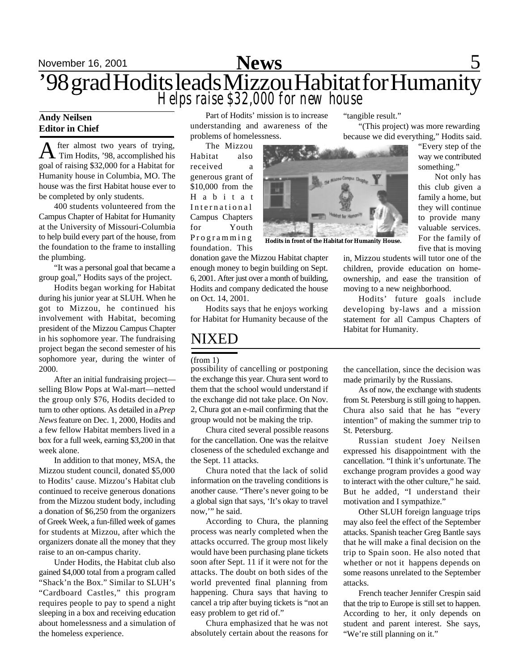## November 16, 2001 **Sports** 5 '98 grad Hodits leads Mizzou Habitat for Humanity *Helps raise \$32,000 for new house* **News**

### **Andy Neilsen Editor in Chief**

A fter almost two years of trying,<br>Tim Hodits, '98, accomplished his fter almost two years of trying, goal of raising \$32,000 for a Habitat for Humanity house in Columbia, MO. The house was the first Habitat house ever to be completed by only students.

400 students volunteered from the Campus Chapter of Habitat for Humanity at the University of Missouri-Columbia to help build every part of the house, from the foundation to the frame to installing the plumbing.

"It was a personal goal that became a group goal," Hodits says of the project.

Hodits began working for Habitat during his junior year at SLUH. When he got to Mizzou, he continued his involvement with Habitat, becoming president of the Mizzou Campus Chapter in his sophomore year. The fundraising project began the second semester of his sophomore year, during the winter of 2000.

After an initial fundraising project selling Blow Pops at Wal-mart—netted the group only \$76, Hodits decided to turn to other options. As detailed in a *Prep News* feature on Dec. 1, 2000, Hodits and a few fellow Habitat members lived in a box for a full week, earning \$3,200 in that week alone.

In addition to that money, MSA, the Mizzou student council, donated \$5,000 to Hodits' cause. Mizzou's Habitat club continued to receive generous donations from the Mizzou student body, including a donation of \$6,250 from the organizers of Greek Week, a fun-filled week of games for students at Mizzou, after which the organizers donate all the money that they raise to an on-campus charity.

Under Hodits, the Habitat club also gained \$4,000 total from a program called "Shack'n the Box." Similar to SLUH's "Cardboard Castles," this program requires people to pay to spend a night sleeping in a box and receiving education about homelessness and a simulation of the homeless experience.

Part of Hodits' mission is to increase understanding and awareness of the problems of homelessness.

The Mizzou Habitat also received a generous grant of \$10,000 from the H a b i t a t International Campus Chapters for Youth Programming foundation. This

donation gave the Mizzou Habitat chapter enough money to begin building on Sept. 6, 2001. After just over a month of building, Hodits and company dedicated the house on Oct. 14, 2001.

Hodits says that he enjoys working for Habitat for Humanity because of the

## NIXED

#### (from 1)

possibility of cancelling or postponing the exchange this year. Chura sent word to them that the school would understand if the exchange did not take place. On Nov. 2, Chura got an e-mail confirming that the group would not be making the trip.

Chura cited several possible reasons for the cancellation. One was the relaitve closeness of the scheduled exchange and the Sept. 11 attacks.

Chura noted that the lack of solid information on the traveling conditions is another cause. "There's never going to be a global sign that says, 'It's okay to travel now,'" he said.

According to Chura, the planning process was nearly completed when the attacks occurred. The group most likely would have been purchasing plane tickets soon after Sept. 11 if it were not for the attacks. The doubt on both sides of the world prevented final planning from happening. Chura says that having to cancel a trip after buying tickets is "not an easy problem to get rid of."

Chura emphasized that he was not absolutely certain about the reasons for

"tangible result."

"(This project) was more rewarding because we did everything," Hodits said.

> "Every step of the way we contributed something."

> Not only has this club given a family a home, but they will continue to provide many valuable services. For the family of five that is moving

in, Mizzou students will tutor one of the children, provide education on homeownership, and ease the transition of moving to a new neighborhood.

Hodits' future goals include developing by-laws and a mission statement for all Campus Chapters of Habitat for Humanity.

the cancellation, since the decision was made primarily by the Russians.

As of now, the exchange with students from St. Petersburg is still going to happen. Chura also said that he has "every intention" of making the summer trip to St. Petersburg.

Russian student Joey Neilsen expressed his disappointment with the cancellation. "I think it's unfortunate. The exchange program provides a good way to interact with the other culture," he said. But he added, "I understand their motivation and I sympathize."

Other SLUH foreign language trips may also feel the effect of the September attacks. Spanish teacher Greg Bantle says that he will make a final decision on the trip to Spain soon. He also noted that whether or not it happens depends on some reasons unrelated to the September attacks.

French teacher Jennifer Crespin said that the trip to Europe is still set to happen. According to her, it only depends on student and parent interest. She says, "We're still planning on it."



**Hodits in front of the Habitat for Humanity House.**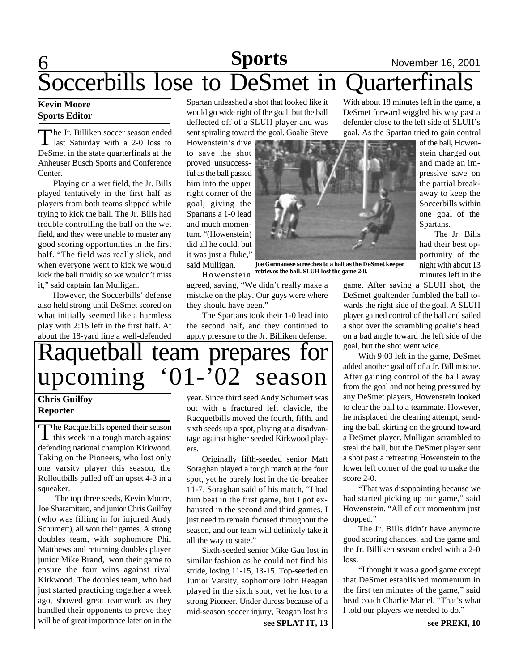## 6 **Sports** November 16, 2001 Soccerbills lose to DeSmet in Quarterfinals

### **Kevin Moore Sports Editor**

The Jr. Billiken soccer season ended<br>last Saturday with a 2-0 loss to he Jr. Billiken soccer season ended DeSmet in the state quarterfinals at the Anheuser Busch Sports and Conference Center.

Playing on a wet field, the Jr. Bills played tentatively in the first half as players from both teams slipped while trying to kick the ball. The Jr. Bills had trouble controlling the ball on the wet field, and they were unable to muster any good scoring opportunities in the first half. "The field was really slick, and when everyone went to kick we would kick the ball timidly so we wouldn't miss it," said captain Ian Mulligan.

However, the Soccerbills' defense also held strong until DeSmet scored on what initially seemed like a harmless play with 2:15 left in the first half. At about the 18-yard line a well-defended Spartan unleashed a shot that looked like it would go wide right of the goal, but the ball deflected off of a SLUH player and was sent spiraling toward the goal. Goalie Steve

Howenstein's dive to save the shot proved unsuccessful as the ball passed him into the upper right corner of the goal, giving the Spartans a 1-0 lead and much momentum. "(Howenstein) did all he could, but it was just a fluke," said Mulligan. Howenstein



**Joe Germanese screeches to a halt as the DeSmet keeper retrieves the ball. SLUH lost the game 2-0.**

agreed, saying, "We didn't really make a mistake on the play. Our guys were where they should have been."

The Spartans took their 1-0 lead into the second half, and they continued to apply pressure to the Jr. Billiken defense.

## Raquetball team prepares for<br>upcoming '01-'02 season upcoming '01-'02 season

## **Chris Guilfoy Reporter**

The Racquetbills opened their season<br>this week in a tough match against The Racquetbills opened their season defending national champion Kirkwood. Taking on the Pioneers, who lost only one varsity player this season, the Rolloutbills pulled off an upset 4-3 in a squeaker.

 The top three seeds, Kevin Moore, Joe Sharamitaro, and junior Chris Guilfoy (who was filling in for injured Andy Schumert), all won their games. A strong doubles team, with sophomore Phil Matthews and returning doubles player junior Mike Brand, won their game to ensure the four wins against rival Kirkwood. The doubles team, who had just started practicing together a week ago, showed great teamwork as they handled their opponents to prove they will be of great importance later on in the

year. Since third seed Andy Schumert was out with a fractured left clavicle, the Racquetbills moved the fourth, fifth, and sixth seeds up a spot, playing at a disadvantage against higher seeded Kirkwood players.

Originally fifth-seeded senior Matt Soraghan played a tough match at the four spot, yet he barely lost in the tie-breaker 11-7. Soraghan said of his match, "I had him beat in the first game, but I got exhausted in the second and third games. I just need to remain focused throughout the season, and our team will definitely take it all the way to state."

Sixth-seeded senior Mike Gau lost in similar fashion as he could not find his stride, losing 11-15, 13-15. Top-seeded on Junior Varsity, sophomore John Reagan played in the sixth spot, yet he lost to a strong Pioneer. Under duress because of a mid-season soccer injury, Reagan lost his

**see SPLAT IT, 13 see PREKI, 10** 

With about 18 minutes left in the game, a DeSmet forward wiggled his way past a defender close to the left side of SLUH's goal. As the Spartan tried to gain control

of the ball, Howenstein charged out and made an impressive save on the partial breakaway to keep the Soccerbills within one goal of the Spartans.

The Jr. Bills had their best opportunity of the night with about 13 minutes left in the

game. After saving a SLUH shot, the DeSmet goaltender fumbled the ball towards the right side of the goal. A SLUH player gained control of the ball and sailed a shot over the scrambling goalie's head on a bad angle toward the left side of the goal, but the shot went wide.

With 9:03 left in the game, DeSmet added another goal off of a Jr. Bill miscue. After gaining control of the ball away from the goal and not being pressured by any DeSmet players, Howenstein looked to clear the ball to a teammate. However, he misplaced the clearing attempt, sending the ball skirting on the ground toward a DeSmet player. Mulligan scrambled to steal the ball, but the DeSmet player sent a shot past a retreating Howenstein to the lower left corner of the goal to make the score 2-0.

"That was disappointing because we had started picking up our game," said Howenstein. "All of our momentum just dropped."

The Jr. Bills didn't have anymore good scoring chances, and the game and the Jr. Billiken season ended with a 2-0 loss.

"I thought it was a good game except that DeSmet established momentum in the first ten minutes of the game," said head coach Charlie Martel. "That's what I told our players we needed to do."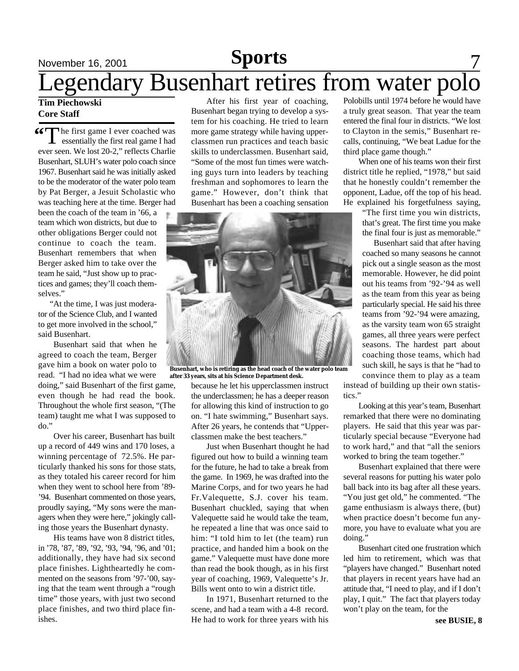## November 16, 2001 **Sports** 7 Legendary Busenhart retires from water polo **Sports**

### **Tim Piechowski Core Staff**

**66** The first game I ever coached was<br>essentially the first real game I had essentially the first real game I had ever seen. We lost 20-2," reflects Charlie Busenhart, SLUH's water polo coach since 1967. Busenhart said he was initially asked to be the moderator of the water polo team by Pat Berger, a Jesuit Scholastic who was teaching here at the time. Berger had

been the coach of the team in '66, a team which won districts, but due to other obligations Berger could not continue to coach the team. Busenhart remembers that when Berger asked him to take over the team he said, "Just show up to practices and games; they'll coach themselves."

"At the time, I was just moderator of the Science Club, and I wanted to get more involved in the school," said Busenhart.

Busenhart said that when he agreed to coach the team, Berger gave him a book on water polo to read. "I had no idea what we were doing," said Busenhart of the first game, even though he had read the book. Throughout the whole first season, "(The team) taught me what I was supposed to do."

Over his career, Busenhart has built up a record of 449 wins and 170 loses, a winning percentage of 72.5%. He particularly thanked his sons for those stats, as they totaled his career record for him when they went to school here from '89- '94. Busenhart commented on those years, proudly saying, "My sons were the managers when they were here," jokingly calling those years the Busenhart dynasty.

His teams have won 8 district titles, in '78, '87, '89, '92, '93, '94, '96, and '01; additionally, they have had six second place finishes. Lightheartedly he commented on the seasons from '97-'00, saying that the team went through a "rough time" those years, with just two second place finishes, and two third place finishes.

After his first year of coaching, Busenhart began trying to develop a system for his coaching. He tried to learn more game strategy while having upperclassmen run practices and teach basic skills to underclassmen. Busenhart said, "Some of the most fun times were watching guys turn into leaders by teaching freshman and sophomores to learn the game." However, don't think that Busenhart has been a coaching sensation



**Busenhart, who is retiring as the head coach of the water polo team after 33 years, sits at his Science Department desk.**

because he let his upperclassmen instruct the underclassmen; he has a deeper reason for allowing this kind of instruction to go on. "I hate swimming," Busenhart says. After 26 years, he contends that "Upperclassmen make the best teachers."

Just when Busenhart thought he had figured out how to build a winning team for the future, he had to take a break from the game. In 1969, he was drafted into the Marine Corps, and for two years he had Fr.Valequette, S.J. cover his team. Busenhart chuckled, saying that when Valequette said he would take the team, he repeated a line that was once said to him: "I told him to let (the team) run practice, and handed him a book on the game." Valequette must have done more than read the book though, as in his first year of coaching, 1969, Valequette's Jr. Bills went onto to win a district title.

In 1971, Busenhart returned to the scene, and had a team with a 4-8 record. He had to work for three years with his

Polobills until 1974 before he would have a truly great season. That year the team entered the final four in districts. "We lost to Clayton in the semis," Busenhart recalls, continuing, "We beat Ladue for the third place game though."

When one of his teams won their first district title he replied, "1978," but said that he honestly couldn't remember the opponent, Ladue, off the top of his head. He explained his forgetfulness saying,

> "The first time you win districts, that's great. The first time you make the final four is just as memorable."

> Busenhart said that after having coached so many seasons he cannot pick out a single season as the most memorable. However, he did point out his teams from '92-'94 as well as the team from this year as being particularly special. He said his three teams from '92-'94 were amazing, as the varsity team won 65 straight games, all three years were perfect seasons. The hardest part about coaching those teams, which had such skill, he says is that he "had to convince them to play as a team

instead of building up their own statistics."

Looking at this year's team, Busenhart remarked that there were no dominating players. He said that this year was particularly special because "Everyone had to work hard," and that "all the seniors worked to bring the team together."

Busenhart explained that there were several reasons for putting his water polo ball back into its bag after all these years. "You just get old," he commented. "The game enthusiasm is always there, (but) when practice doesn't become fun anymore, you have to evaluate what you are doing."

Busenhart cited one frustration which led him to retirement, which was that "players have changed." Busenhart noted that players in recent years have had an attitude that, "I need to play, and if I don't play, I quit." The fact that players today won't play on the team, for the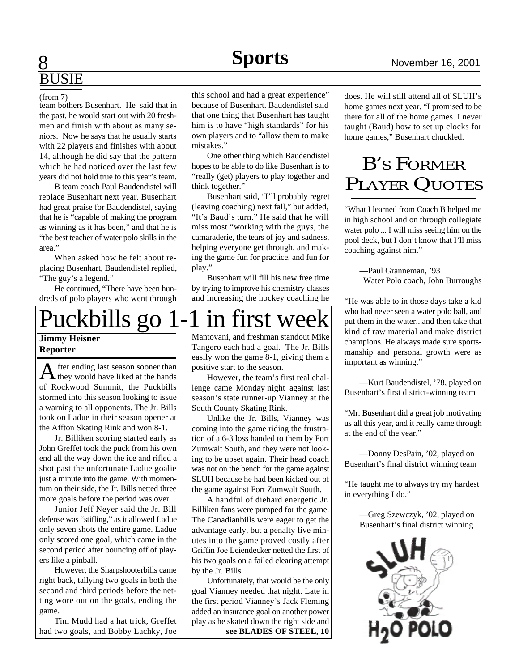## **Sports** November 16, 2001 **Sports**

# BUSIE

team bothers Busenhart. He said that in the past, he would start out with 20 freshmen and finish with about as many seniors. Now he says that he usually starts with 22 players and finishes with about 14, although he did say that the pattern which he had noticed over the last few years did not hold true to this year's team.

B team coach Paul Baudendistel will replace Busenhart next year. Busenhart had great praise for Baudendistel, saying that he is "capable of making the program as winning as it has been," and that he is "the best teacher of water polo skills in the area."

When asked how he felt about replacing Busenhart, Baudendistel replied, "The guy's a legend."

He continued, "There have been hundreds of polo players who went through

Puckbills go 1-1 in first week **Jimmy Heisner**

## **Reporter**

After ending last season sooner than<br>they would have liked at the hands fter ending last season sooner than of Rockwood Summit, the Puckbills stormed into this season looking to issue a warning to all opponents. The Jr. Bills took on Ladue in their season opener at the Affton Skating Rink and won 8-1.

Jr. Billiken scoring started early as John Greffet took the puck from his own end all the way down the ice and rifled a shot past the unfortunate Ladue goalie just a minute into the game. With momentum on their side, the Jr. Bills netted three more goals before the period was over.

Junior Jeff Neyer said the Jr. Bill defense was "stifling," as it allowed Ladue only seven shots the entire game. Ladue only scored one goal, which came in the second period after bouncing off of players like a pinball.

However, the Sharpshooterbills came right back, tallying two goals in both the second and third periods before the netting wore out on the goals, ending the game.

Tim Mudd had a hat trick, Greffet had two goals, and Bobby Lachky, Joe

(from 7) this school and had a great experience" because of Busenhart. Baudendistel said that one thing that Busenhart has taught him is to have "high standards" for his own players and to "allow them to make mistakes."

> One other thing which Baudendistel hopes to be able to do like Busenhart is to "really (get) players to play together and think together."

> Busenhart said, "I'll probably regret (leaving coaching) next fall," but added, "It's Baud's turn." He said that he will miss most "working with the guys, the camaraderie, the tears of joy and sadness, helping everyone get through, and making the game fun for practice, and fun for play."

> Busenhart will fill his new free time by trying to improve his chemistry classes and increasing the hockey coaching he



easily won the game 8-1, giving them a positive start to the season.

However, the team's first real challenge came Monday night against last season's state runner-up Vianney at the South County Skating Rink.

Unlike the Jr. Bills, Vianney was coming into the game riding the frustration of a 6-3 loss handed to them by Fort Zumwalt South, and they were not looking to be upset again. Their head coach was not on the bench for the game against SLUH because he had been kicked out of the game against Fort Zumwalt South.

A handful of diehard energetic Jr. Billiken fans were pumped for the game. The Canadianbills were eager to get the advantage early, but a penalty five minutes into the game proved costly after Griffin Joe Leiendecker netted the first of his two goals on a failed clearing attempt by the Jr. Bills.

Unfortunately, that would be the only goal Vianney needed that night. Late in the first period Vianney's Jack Fleming added an insurance goal on another power play as he skated down the right side and **see BLADES OF STEEL, 10**

does. He will still attend all of SLUH's home games next year. "I promised to be there for all of the home games. I never taught (Baud) how to set up clocks for home games," Busenhart chuckled.

## B'S FORMER PLAYER QUOTES

"What I learned from Coach B helped me in high school and on through collegiate water polo ... I will miss seeing him on the pool deck, but I don't know that I'll miss coaching against him."

—Paul Granneman, '93 Water Polo coach, John Burroughs

"He was able to in those days take a kid who had never seen a water polo ball, and put them in the water...and then take that kind of raw material and make district champions. He always made sure sportsmanship and personal growth were as important as winning."

—Kurt Baudendistel, '78, played on Busenhart's first district-winning team

"Mr. Busenhart did a great job motivating us all this year, and it really came through at the end of the year."

—Donny DesPain, '02, played on Busenhart's final district winning team

"He taught me to always try my hardest in everything I do."

—Greg Szewczyk, '02, played on Busenhart's final district winning

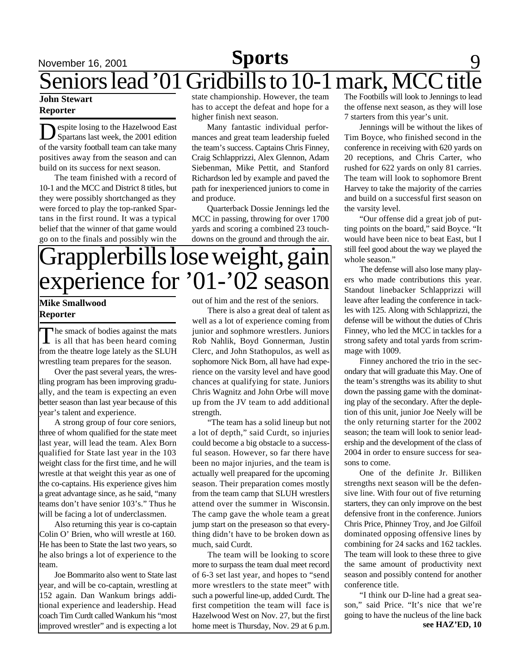## November 16, 2001 **Sports** 9 Seniors lead '01 Gridbills to 10-1 mark, MCC title **Sports**

### **John Stewart Reporter**

Despite losing to the Hazelwood East<br>Spartans last week, the 2001 edition espite losing to the Hazelwood East of the varsity football team can take many positives away from the season and can build on its success for next season.

The team finished with a record of 10-1 and the MCC and District 8 titles, but they were possibly shortchanged as they were forced to play the top-ranked Spartans in the first round. It was a typical belief that the winner of that game would go on to the finals and possibly win the

state championship. However, the team has to accept the defeat and hope for a higher finish next season.

Many fantastic individual performances and great team leadership fueled the team's success. Captains Chris Finney, Craig Schlapprizzi, Alex Glennon, Adam Siebenman, Mike Pettit, and Stanford Richardson led by example and paved the path for inexperienced juniors to come in and produce.

Quarterback Dossie Jennings led the MCC in passing, throwing for over 1700 yards and scoring a combined 23 touchdowns on the ground and through the air.

## applerbills lose weight, gain experience for '01-'02 season

### **Mike Smallwood Reporter**

The smack of bodies against the mats<br>is all that has been heard coming The smack of bodies against the mats from the theatre loge lately as the SLUH wrestling team prepares for the season.

Over the past several years, the wrestling program has been improving gradually, and the team is expecting an even better season than last year because of this year's talent and experience.

A strong group of four core seniors, three of whom qualified for the state meet last year, will lead the team. Alex Born qualified for State last year in the 103 weight class for the first time, and he will wrestle at that weight this year as one of the co-captains. His experience gives him a great advantage since, as he said, "many teams don't have senior 103's." Thus he will be facing a lot of underclassmen.

Also returning this year is co-captain Colin O' Brien, who will wrestle at 160. He has been to State the last two years, so he also brings a lot of experience to the team.

Joe Bommarito also went to State last year, and will be co-captain, wrestling at 152 again. Dan Wankum brings additional experience and leadership. Head coach Tim Curdt called Wankum his "most improved wrestler" and is expecting a lot

out of him and the rest of the seniors.

There is also a great deal of talent as well as a lot of experience coming from junior and sophmore wrestlers. Juniors Rob Nahlik, Boyd Gonnerman, Justin Clerc, and John Stathopulos, as well as sophomore Nick Born, all have had experience on the varsity level and have good chances at qualifying for state. Juniors Chris Wagnitz and John Orbe will move up from the JV team to add additional strength.

"The team has a solid lineup but not a lot of depth," said Curdt, so injuries could become a big obstacle to a successful season. However, so far there have been no major injuries, and the team is actually well preapared for the upcoming season. Their preparation comes mostly from the team camp that SLUH wrestlers attend over the summer in Wisconsin. The camp gave the whole team a great jump start on the preseason so that everything didn't have to be broken down as much, said Curdt.

The team will be looking to score more to surpass the team dual meet record of 6-3 set last year, and hopes to "send more wrestlers to the state meet" with such a powerful line-up, added Curdt. The first competition the team will face is Hazelwood West on Nov. 27, but the first home meet is Thursday, Nov. 29 at 6 p.m. **see HAZ'ED, 10** 

The Footbills will look to Jennings to lead the offense next season, as they will lose 7 starters from this year's unit.

Jennings will be without the likes of Tim Boyce, who finished second in the conference in receiving with 620 yards on 20 receptions, and Chris Carter, who rushed for 622 yards on only 81 carries. The team will look to sophomore Brent Harvey to take the majority of the carries and build on a successful first season on the varsity level.

"Our offense did a great job of putting points on the board," said Boyce. "It would have been nice to beat East, but I still feel good about the way we played the whole season."

The defense will also lose many players who made contributions this year. Standout linebacker Schlapprizzi will leave after leading the conference in tackles with 125. Along with Schlapprizzi, the defense will be without the duties of Chris Finney, who led the MCC in tackles for a strong safety and total yards from scrimmage with 1009.

Finney anchored the trio in the secondary that will graduate this May. One of the team's strengths was its ability to shut down the passing game with the dominating play of the secondary. After the depletion of this unit, junior Joe Neely will be the only returning starter for the 2002 season; the team will look to senior leadership and the development of the class of 2004 in order to ensure success for seasons to come.

One of the definite Jr. Billiken strengths next season will be the defensive line. With four out of five returning starters, they can only improve on the best defensive front in the conference. Juniors Chris Price, Phinney Troy, and Joe Gilfoil dominated opposing offensive lines by combining for 24 sacks and 162 tackles. The team will look to these three to give the same amount of productivity next season and possibly contend for another conference title.

"I think our D-line had a great season," said Price. "It's nice that we're going to have the nucleus of the line back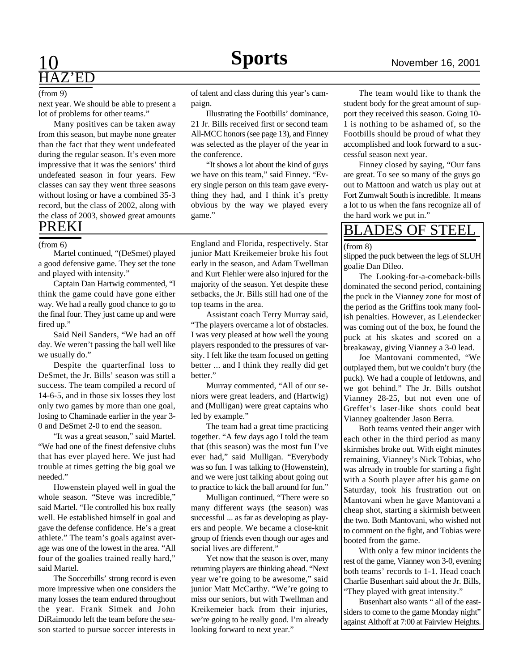## 10 **Sports** November 16, 2001  $Z'ED$

#### (from 9)

next year. We should be able to present a lot of problems for other teams."

Many positives can be taken away from this season, but maybe none greater than the fact that they went undefeated during the regular season. It's even more impressive that it was the seniors' third undefeated season in four years. Few classes can say they went three seasons without losing or have a combined 35-3 record, but the class of 2002, along with the class of 2003, showed great amounts PREKI

### (from 6)

Martel continued, "(DeSmet) played a good defensive game. They set the tone and played with intensity."

Captain Dan Hartwig commented, "I think the game could have gone either way. We had a really good chance to go to the final four. They just came up and were fired up."

Said Neil Sanders, "We had an off day. We weren't passing the ball well like we usually do."

Despite the quarterfinal loss to DeSmet, the Jr. Bills' season was still a success. The team compiled a record of 14-6-5, and in those six losses they lost only two games by more than one goal, losing to Chaminade earlier in the year 3- 0 and DeSmet 2-0 to end the season.

"It was a great season," said Martel. "We had one of the finest defensive clubs that has ever played here. We just had trouble at times getting the big goal we needed."

Howenstein played well in goal the whole season. "Steve was incredible," said Martel. "He controlled his box really well. He established himself in goal and gave the defense confidence. He's a great athlete." The team's goals against average was one of the lowest in the area. "All four of the goalies trained really hard," said Martel.

The Soccerbills' strong record is even more impressive when one considers the many losses the team endured throughout the year. Frank Simek and John DiRaimondo left the team before the season started to pursue soccer interests in

of talent and class during this year's campaign.

Illustrating the Footbills' dominance, 21 Jr. Bills received first or second team All-MCC honors (see page 13), and Finney was selected as the player of the year in the conference.

"It shows a lot about the kind of guys we have on this team," said Finney. "Every single person on this team gave everything they had, and I think it's pretty obvious by the way we played every game."

England and Florida, respectively. Star junior Matt Kreikemeier broke his foot early in the season, and Adam Twellman and Kurt Fiehler were also injured for the majority of the season. Yet despite these setbacks, the Jr. Bills still had one of the top teams in the area.

Assistant coach Terry Murray said, "The players overcame a lot of obstacles. I was very pleased at how well the young players responded to the pressures of varsity. I felt like the team focused on getting better ... and I think they really did get better."

Murray commented, "All of our seniors were great leaders, and (Hartwig) and (Mulligan) were great captains who led by example."

The team had a great time practicing together. "A few days ago I told the team that (this season) was the most fun I've ever had," said Mulligan. "Everybody was so fun. I was talking to (Howenstein), and we were just talking about going out to practice to kick the ball around for fun."

Mulligan continued, "There were so many different ways (the season) was successful ... as far as developing as players and people. We became a close-knit group of friends even though our ages and social lives are different."

Yet now that the season is over, many returning players are thinking ahead. "Next year we're going to be awesome," said junior Matt McCarthy. "We're going to miss our seniors, but with Twellman and Kreikemeier back from their injuries, we're going to be really good. I'm already looking forward to next year."

The team would like to thank the student body for the great amount of support they received this season. Going 10- 1 is nothing to be ashamed of, so the Footbills should be proud of what they accomplished and look forward to a successful season next year.

Finney closed by saying, "Our fans are great. To see so many of the guys go out to Mattoon and watch us play out at Fort Zumwalt South is incredible. It means a lot to us when the fans recognize all of the hard work we put in."

## BLADES OF STEEL

(from 8)

slipped the puck between the legs of SLUH goalie Dan Dileo.

The Looking-for-a-comeback-bills dominated the second period, containing the puck in the Vianney zone for most of the period as the Griffins took many foolish penalties. However, as Leiendecker was coming out of the box, he found the puck at his skates and scored on a breakaway, giving Vianney a 3-0 lead.

Joe Mantovani commented, "We outplayed them, but we couldn't bury (the puck). We had a couple of letdowns, and we got behind." The Jr. Bills outshot Vianney 28-25, but not even one of Greffet's laser-like shots could beat Vianney goaltender Jason Berra.

Both teams vented their anger with each other in the third period as many skirmishes broke out. With eight minutes remaining, Vianney's Nick Tobias, who was already in trouble for starting a fight with a South player after his game on Saturday, took his frustration out on Mantovani when he gave Mantovani a cheap shot, starting a skirmish between the two. Both Mantovani, who wished not to comment on the fight, and Tobias were booted from the game.

With only a few minor incidents the rest of the game, Vianney won 3-0, evening both teams' records to 1-1. Head coach Charlie Busenhart said about the Jr. Bills, "They played with great intensity."

Busenhart also wants " all of the eastsiders to come to the game Monday night" against Althoff at 7:00 at Fairview Heights.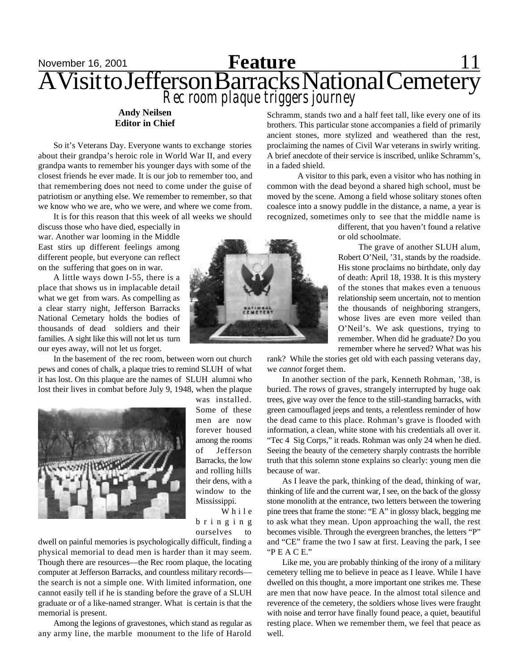## November 16, 2001<br>**Feature** 11, 11 AVisit to Jefferson Barracks National Cemetery *Rec room plaque triggers journey*

### **Andy Neilsen Editor in Chief**

So it's Veterans Day. Everyone wants to exchange stories about their grandpa's heroic role in World War II, and every grandpa wants to remember his younger days with some of the closest friends he ever made. It is our job to remember too, and that remembering does not need to come under the guise of patriotism or anything else. We remember to remember, so that we know who we are, who we were, and where we come from.

It is for this reason that this week of all weeks we should

discuss those who have died, especially in war. Another war looming in the Middle East stirs up different feelings among different people, but everyone can reflect on the suffering that goes on in war.

A little ways down I-55, there is a place that shows us in implacable detail what we get from wars. As compelling as a clear starry night, Jefferson Barracks National Cemetary holds the bodies of thousands of dead soldiers and their families. A sight like this will not let us turn our eyes away, will not let us forget.

In the basement of the rec room, between worn out church pews and cones of chalk, a plaque tries to remind SLUH of what it has lost. On this plaque are the names of SLUH alumni who lost their lives in combat before July 9, 1948, when the plaque



was installed. Some of these men are now forever housed among the rooms of Jefferson Barracks, the low and rolling hills their dens, with a window to the Mississippi.

W h i l e b r i n g i n g ourselves to

dwell on painful memories is psychologically difficult, finding a physical memorial to dead men is harder than it may seem. Though there are resources—the Rec room plaque, the locating computer at Jefferson Barracks, and countless military records the search is not a simple one. With limited information, one cannot easily tell if he is standing before the grave of a SLUH graduate or of a like-named stranger. What is certain is that the memorial is present.

Among the legions of gravestones, which stand as regular as any army line, the marble monument to the life of Harold



Schramm, stands two and a half feet tall, like every one of its brothers. This particular stone accompanies a field of primarily ancient stones, more stylized and weathered than the rest, proclaiming the names of Civil War veterans in swirly writing. A brief anecdote of their service is inscribed, unlike Schramm's, in a faded shield.

A visitor to this park, even a visitor who has nothing in common with the dead beyond a shared high school, must be moved by the scene. Among a field whose solitary stones often coalesce into a snowy puddle in the distance, a name, a year is recognized, sometimes only to see that the middle name is

> different, that you haven't found a relative or old schoolmate.

> The grave of another SLUH alum, Robert O'Neil, '31, stands by the roadside. His stone proclaims no birthdate, only day of death: April 18, 1938. It is this mystery of the stones that makes even a tenuous relationship seem uncertain, not to mention the thousands of neighboring strangers, whose lives are even more veiled than O'Neil's. We ask questions, trying to remember. When did he graduate? Do you remember where he served? What was his

rank? While the stories get old with each passing veterans day, we *cannot* forget them.

In another section of the park, Kenneth Rohman, '38, is buried. The rows of graves, strangely interrupted by huge oak trees, give way over the fence to the still-standing barracks, with green camouflaged jeeps and tents, a relentless reminder of how the dead came to this place. Rohman's grave is flooded with information, a clean, white stone with his credentials all over it. "Tec 4 Sig Corps," it reads. Rohman was only 24 when he died. Seeing the beauty of the cemetery sharply contrasts the horrible truth that this solemn stone explains so clearly: young men die because of war.

As I leave the park, thinking of the dead, thinking of war, thinking of life and the current war, I see, on the back of the glossy stone monolith at the entrance, two letters between the towering pine trees that frame the stone: "E A" in glossy black, begging me to ask what they mean. Upon approaching the wall, the rest becomes visible. Through the evergreen branches, the letters "P" and "CE" frame the two I saw at first. Leaving the park, I see "P E A C E."

Like me, you are probably thinking of the irony of a military cemetery telling me to believe in peace as I leave. While I have dwelled on this thought, a more important one strikes me. These are men that now have peace. In the almost total silence and reverence of the cemetery, the soldiers whose lives were fraught with noise and terror have finally found peace, a quiet, beautiful resting place. When we remember them, we feel that peace as well.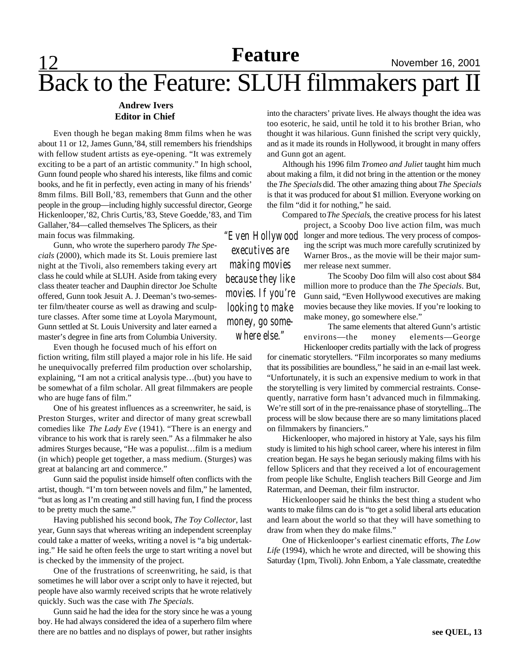## Back to the Feature: SLUH filmmakers part II

#### **Andrew Ivers Editor in Chief**

Even though he began making 8mm films when he was about 11 or 12, James Gunn,'84, still remembers his friendships with fellow student artists as eye-opening. "It was extremely exciting to be a part of an artistic community." In high school, Gunn found people who shared his interests, like films and comic books, and he fit in perfectly, even acting in many of his friends' 8mm films. Bill Boll,'83, remembers that Gunn and the other people in the group—including highly successful director, George Hickenlooper,'82, Chris Curtis,'83, Steve Goedde,'83, and Tim Gallaher,'84—called themselves The Splicers, as their main focus was filmmaking.

Gunn, who wrote the superhero parody *The Specials* (2000), which made its St. Louis premiere last night at the Tivoli, also remembers taking every art class he could while at SLUH. Aside from taking every class theater teacher and Dauphin director Joe Schulte offered, Gunn took Jesuit A. J. Deeman's two-semester film/theater course as well as drawing and sculpture classes. After some time at Loyola Marymount, Gunn settled at St. Louis University and later earned a master's degree in fine arts from Columbia University.

Even though he focused much of his effort on

fiction writing, film still played a major role in his life. He said he unequivocally preferred film production over scholarship, explaining, "I am not a critical analysis type…(but) you have to be somewhat of a film scholar. All great filmmakers are people who are huge fans of film."

One of his greatest influences as a screenwriter, he said, is Preston Sturges, writer and director of many great screwball comedies like *The Lady Eve* (1941). "There is an energy and vibrance to his work that is rarely seen." As a filmmaker he also admires Sturges because, "He was a populist…film is a medium (in which) people get together, a mass medium. (Sturges) was great at balancing art and commerce."

Gunn said the populist inside himself often conflicts with the artist, though. "I'm torn between novels and film," he lamented, "but as long as I'm creating and still having fun, I find the process to be pretty much the same."

Having published his second book, *The Toy Collector*, last year, Gunn says that whereas writing an independent screenplay could take a matter of weeks, writing a novel is "a big undertaking." He said he often feels the urge to start writing a novel but is checked by the immensity of the project.

One of the frustrations of screenwriting, he said, is that sometimes he will labor over a script only to have it rejected, but people have also warmly received scripts that he wrote relatively quickly. Such was the case with *The Specials*.

Gunn said he had the idea for the story since he was a young boy. He had always considered the idea of a superhero film where there are no battles and no displays of power, but rather insights into the characters' private lives. He always thought the idea was too esoteric, he said, until he told it to his brother Brian, who thought it was hilarious. Gunn finished the script very quickly, and as it made its rounds in Hollywood, it brought in many offers and Gunn got an agent.

Although his 1996 film *Tromeo and Juliet* taught him much about making a film, it did not bring in the attention or the money the *The Specials* did. The other amazing thing about *The Specials* is that it was produced for about \$1 million. Everyone working on the film "did it for nothing," he said.

Compared to *The Specials*, the creative process for his latest

project, a Scooby Doo live action film, was much *"Even Hollywood* longer and more tedious. The very process of composing the script was much more carefully scrutinized by Warner Bros., as the movie will be their major summer release next summer.

> The Scooby Doo film will also cost about \$84 million more to produce than the *The Specials*. But, Gunn said, "Even Hollywood executives are making movies because they like movies. If you're looking to make money, go somewhere else."

> The same elements that altered Gunn's artistic environs—the money elements—George Hickenlooper credits partially with the lack of progress

for cinematic storytellers. "Film incorporates so many mediums that its possibilities are boundless," he said in an e-mail last week. "Unfortunately, it is such an expensive medium to work in that the storytelling is very limited by commercial restraints. Consequently, narrative form hasn't advanced much in filmmaking. We're still sort of in the pre-renaissance phase of storytelling...The process will be slow because there are so many limitations placed on filmmakers by financiers."

Hickenlooper, who majored in history at Yale, says his film study is limited to his high school career, where his interest in film creation began. He says he began seriously making films with his fellow Splicers and that they received a lot of encouragement from people like Schulte, English teachers Bill George and Jim Raterman, and Deeman, their film instructor.

Hickenlooper said he thinks the best thing a student who wants to make films can do is "to get a solid liberal arts education and learn about the world so that they will have something to draw from when they do make films."

One of Hickenlooper's earliest cinematic efforts, *The Low Life* (1994), which he wrote and directed, will be showing this Saturday (1pm, Tivoli). John Enbom, a Yale classmate, createdthe

*executives are making movies because they like movies. If you're looking to make money, go somewhere else."*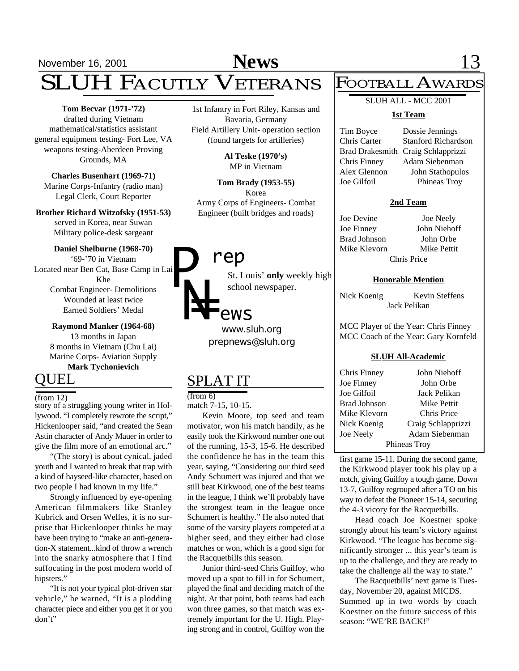## **News**

## November 16, 2001 **News** 13 SLUH FACUTLY VETERANS

**Tom Becvar (1971-'72)** drafted during Vietnam mathematical/statistics assistant general equipment testing- Fort Lee, VA weapons testing-Aberdeen Proving Grounds, MA

**Charles Busenhart (1969-71)** Marine Corps-Infantry (radio man) Legal Clerk, Court Reporter

**Brother Richard Witzofsky (1951-53)** served in Korea, near Suwan Military police-desk sargeant

#### **Daniel Shelburne (1968-70)**

'69-'70 in Vietnam Located near Ben Cat, Base Camp in Lai Khe Combat Engineer- Demolitions *P*

Wounded at least twice Earned Soldiers' Medal

**Raymond Manker (1964-68)** 13 months in Japan 8 months in Vietnam (Chu Lai) Marine Corps- Aviation Supply **Mark Tychonievich**

## QUEL

#### $($ from 12 $)$

story of a struggling young writer in Hollywood. "I completely rewrote the script," Hickenlooper said, "and created the Sean Astin character of Andy Mauer in order to give the film more of an emotional arc."

"(The story) is about cynical, jaded youth and I wanted to break that trap with a kind of hayseed-like character, based on two people I had known in my life."

Strongly influenced by eye-opening American filmmakers like Stanley Kubrick and Orsen Welles, it is no surprise that Hickenlooper thinks he may have been trying to "make an anti-generation-X statement...kind of throw a wrench into the snarky atmosphere that I find suffocating in the post modern world of hipsters."

"It is not your typical plot-driven star vehicle," he warned, "It is a plodding character piece and either you get it or you don't"

1st Infantry in Fort Riley, Kansas and Bavaria, Germany Field Artillery Unit- operation section (found targets for artilleries)

> **Al Teske (1970's)** MP in Vietnam

**Tom Brady (1953-55)** Korea Army Corps of Engineers- Combat Engineer (built bridges and roads)

## *rep*

St. Louis' **only** weekly high school newspaper.

# *N= ews*

*prepnews@sluh.org www.sluh.org*

## SPLAT IT

#### (from 6)

match 7-15, 10-15.

Kevin Moore, top seed and team motivator, won his match handily, as he easily took the Kirkwood number one out of the running, 15-3, 15-6. He described the confidence he has in the team this year, saying, "Considering our third seed Andy Schumert was injured and that we still beat Kirkwood, one of the best teams in the league, I think we'll probably have the strongest team in the league once Schumert is healthy." He also noted that some of the varsity players competed at a higher seed, and they either had close matches or won, which is a good sign for the Racquetbills this season.

Junior third-seed Chris Guilfoy, who moved up a spot to fill in for Schumert, played the final and deciding match of the night. At that point, both teams had each won three games, so that match was extremely important for the U. High. Playing strong and in control, Guilfoy won the

## FOOTBALL AWARDS

## SLUH ALL - MCC 2001

#### **1st Team**

Tim Boyce Dossie Jennings Chris Carter Stanford Richardson Brad Drakesmith Craig Schlapprizzi Chris Finney Adam Siebenman Alex Glennon John Stathopulos Joe Gilfoil Phineas Troy

#### **2nd Team**

Joe Devine Joe Neely Joe Finney John Niehoff Brad Johnson John Orbe Mike Klevorn Mike Pettit Chris Price

#### **Honorable Mention**

Nick Koenig Kevin Steffens Jack Pelikan

MCC Player of the Year: Chris Finney MCC Coach of the Year: Gary Kornfeld

#### **SLUH All-Academic**

| Chris Finney | John Niehoff       |
|--------------|--------------------|
| Joe Finney   | John Orbe          |
| Joe Gilfoil  | Jack Pelikan       |
| Brad Johnson | Mike Pettit        |
| Mike Klevorn | Chris Price        |
| Nick Koenig  | Craig Schlapprizzi |
| Joe Neely    | Adam Siebenman     |
| Phineas Troy |                    |

first game 15-11. During the second game, the Kirkwood player took his play up a notch, giving Guilfoy a tough game. Down 13-7, Guilfoy regrouped after a TO on his way to defeat the Pioneer 15-14, securing the 4-3 vicory for the Racquetbills.

Head coach Joe Koestner spoke strongly about his team's victory against Kirkwood. "The league has become significantly stronger ... this year's team is up to the challenge, and they are ready to take the challenge all the way to state."

The Racquetbills' next game is Tuesday, November 20, against MICDS. Summed up in two words by coach Koestner on the future success of this season: "WE'RE BACK!"